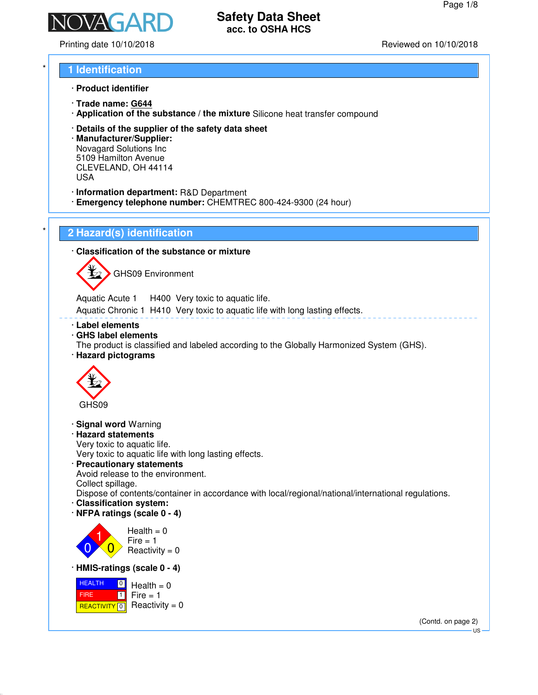

Printing date 10/10/2018 Reviewed on 10/10/2018

# \* **1 Identification**

- · **Product identifier**
- · **Trade name: G644**
- · **Application of the substance / the mixture** Silicone heat transfer compound
- · **Details of the supplier of the safety data sheet**
- · **Manufacturer/Supplier:** Novagard Solutions Inc 5109 Hamilton Avenue CLEVELAND, OH 44114 USA
- · **Information department:** R&D Department
- · **Emergency telephone number:** CHEMTREC 800-424-9300 (24 hour)

# \* **2 Hazard(s) identification**

· **Classification of the substance or mixture**

GHS09 Environment

Aquatic Acute 1 H400 Very toxic to aquatic life. Aquatic Chronic 1 H410 Very toxic to aquatic life with long lasting effects.

- · **Label elements**
- · **GHS label elements**
- The product is classified and labeled according to the Globally Harmonized System (GHS).
- · **Hazard pictograms**



- · **Signal word** Warning
- · **Hazard statements**

Very toxic to aquatic life.

Very toxic to aquatic life with long lasting effects.

· **Precautionary statements** Avoid release to the environment. Collect spillage.

Dispose of contents/container in accordance with local/regional/national/international regulations.

- · **Classification system:**
- · **NFPA ratings (scale 0 4)**



 $Fire = 1$  $Reactivity = 0$ 

· **HMIS-ratings (scale 0 - 4)**

 HEALTH FIRE <mark>REACTIVITY</mark> 0  $\boxed{0}$  $\blacksquare$  $Health = 0$  $Fire = 1$ Reactivity  $= 0$ 

> (Contd. on page 2) US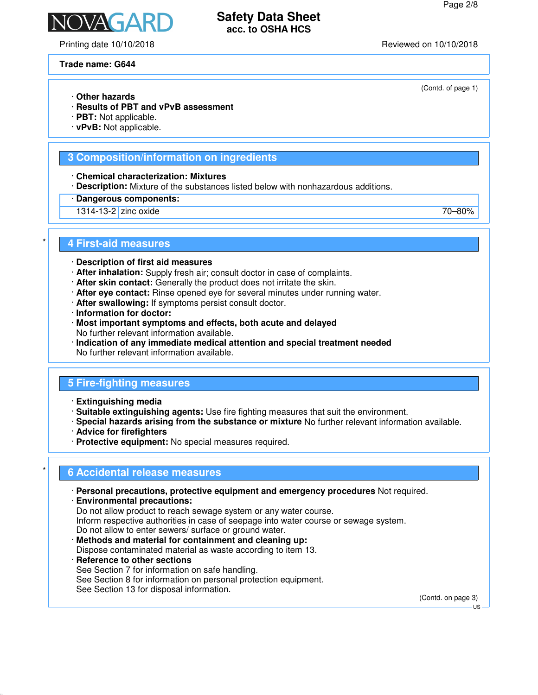(Contd. of page 1)

# **Safety Data Sheet acc. to OSHA HCS**

Printing date 10/10/2018 Reviewed on 10/10/2018

NAGAR

#### **Trade name: G644**

- · **Other hazards**
- · **Results of PBT and vPvB assessment**
- · **PBT:** Not applicable.
- · **vPvB:** Not applicable.

#### **3 Composition/information on ingredients**

· **Chemical characterization: Mixtures**

- · **Description:** Mixture of the substances listed below with nonhazardous additions.
- · **Dangerous components:**
- 1314-13-2 zinc oxide 70–80%

#### \* **4 First-aid measures**

- · **Description of first aid measures**
- · **After inhalation:** Supply fresh air; consult doctor in case of complaints.
- · **After skin contact:** Generally the product does not irritate the skin.
- · **After eye contact:** Rinse opened eye for several minutes under running water.
- · **After swallowing:** If symptoms persist consult doctor.
- · **Information for doctor:**
- · **Most important symptoms and effects, both acute and delayed** No further relevant information available.
- · **Indication of any immediate medical attention and special treatment needed** No further relevant information available.

#### **5 Fire-fighting measures**

- · **Extinguishing media**
- · **Suitable extinguishing agents:** Use fire fighting measures that suit the environment.
- · **Special hazards arising from the substance or mixture** No further relevant information available.
- · **Advice for firefighters**
- · **Protective equipment:** No special measures required.

## \* **6 Accidental release measures**

- · **Personal precautions, protective equipment and emergency procedures** Not required.
- · **Environmental precautions:** Do not allow product to reach sewage system or any water course. Inform respective authorities in case of seepage into water course or sewage system. Do not allow to enter sewers/ surface or ground water. · **Methods and material for containment and cleaning up:**
- Dispose contaminated material as waste according to item 13.
- · **Reference to other sections** See Section 7 for information on safe handling. See Section 8 for information on personal protection equipment. See Section 13 for disposal information.

(Contd. on page 3)

US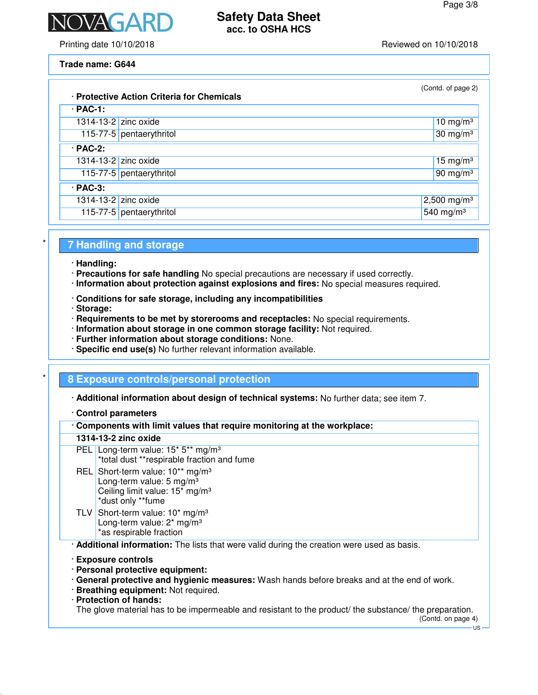

Printing date 10/10/2018 Reviewed on 10/10/2018

#### **Trade name: G644**

| (Contd. of page 2)<br>· Protective Action Criteria for Chemicals |                          |                         |  |  |
|------------------------------------------------------------------|--------------------------|-------------------------|--|--|
| $·$ PAC-1:                                                       |                          |                         |  |  |
| 1314-13-2 zinc oxide                                             |                          | 10 mg/m $3$             |  |  |
|                                                                  | 115-77-5 pentaerythritol | $30 \text{ mg/m}^3$     |  |  |
| $·$ PAC-2:                                                       |                          |                         |  |  |
| 1314-13-2 zinc oxide                                             |                          | 15 mg/m $3$             |  |  |
|                                                                  | 115-77-5 pentaerythritol | 90 mg/m $3$             |  |  |
| $·$ PAC-3:                                                       |                          |                         |  |  |
| 1314-13-2 zinc oxide                                             |                          | 2,500 mg/m <sup>3</sup> |  |  |
|                                                                  | 115-77-5 pentaerythritol | 540 mg/m <sup>3</sup>   |  |  |

#### \* **7 Handling and storage**

- · **Handling:**
- · **Precautions for safe handling** No special precautions are necessary if used correctly.
- · **Information about protection against explosions and fires:** No special measures required.
- · **Conditions for safe storage, including any incompatibilities**
- · **Storage:**
- · **Requirements to be met by storerooms and receptacles:** No special requirements.
- · **Information about storage in one common storage facility:** Not required.
- · **Further information about storage conditions:** None.
- · **Specific end use(s)** No further relevant information available.

## \* **8 Exposure controls/personal protection**

· **Additional information about design of technical systems:** No further data; see item 7.

#### · **Control parameters**

| Components with limit values that require monitoring at the workplace: |
|------------------------------------------------------------------------|
|------------------------------------------------------------------------|

#### **1314-13-2 zinc oxide**

- PEL Long-term value: 15<sup>\*</sup> 5<sup>\*\*</sup> mg/m<sup>3</sup> \*total dust \*\*respirable fraction and fume
- REL Short-term value: 10<sup>\*\*</sup> mg/m<sup>3</sup> Long-term value:  $5 \text{ mg/m}^3$ Ceiling limit value: 15\* mg/m³ \*dust only \*\*fume
- TLV Short-term value: 10<sup>\*</sup> mg/m<sup>3</sup> Long-term value:  $2<sup>*</sup>$  mg/m<sup>3</sup> \*as respirable fraction

· **Additional information:** The lists that were valid during the creation were used as basis.

- · **Exposure controls**
- · **Personal protective equipment:**
- · **General protective and hygienic measures:** Wash hands before breaks and at the end of work.
- · **Breathing equipment:** Not required.
- · **Protection of hands:**

The glove material has to be impermeable and resistant to the product/ the substance/ the preparation.

US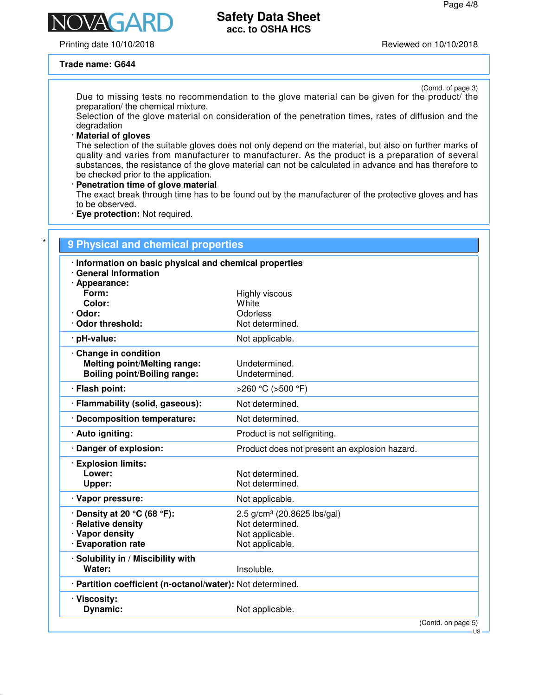Printing date 10/10/2018 Reviewed on 10/10/2018

**NAGA** 

#### **Trade name: G644**

(Contd. of page 3)

Due to missing tests no recommendation to the glove material can be given for the product/ the preparation/ the chemical mixture.

Selection of the glove material on consideration of the penetration times, rates of diffusion and the degradation

#### · **Material of gloves**

The selection of the suitable gloves does not only depend on the material, but also on further marks of quality and varies from manufacturer to manufacturer. As the product is a preparation of several substances, the resistance of the glove material can not be calculated in advance and has therefore to be checked prior to the application.

#### · **Penetration time of glove material**

The exact break through time has to be found out by the manufacturer of the protective gloves and has to be observed.

· **Eye protection:** Not required.

| Highly viscous<br>White<br>Odorless<br>Not determined.<br>Not applicable.<br>Undetermined.<br>Undetermined.<br>>260 °C (>500 °F)<br>Not determined.<br>Not determined.<br>Product is not selfigniting.<br>Product does not present an explosion hazard. |
|---------------------------------------------------------------------------------------------------------------------------------------------------------------------------------------------------------------------------------------------------------|
|                                                                                                                                                                                                                                                         |
|                                                                                                                                                                                                                                                         |
|                                                                                                                                                                                                                                                         |
|                                                                                                                                                                                                                                                         |
|                                                                                                                                                                                                                                                         |
|                                                                                                                                                                                                                                                         |
|                                                                                                                                                                                                                                                         |
|                                                                                                                                                                                                                                                         |
|                                                                                                                                                                                                                                                         |
|                                                                                                                                                                                                                                                         |
|                                                                                                                                                                                                                                                         |
|                                                                                                                                                                                                                                                         |
|                                                                                                                                                                                                                                                         |
|                                                                                                                                                                                                                                                         |
|                                                                                                                                                                                                                                                         |
| Not determined.                                                                                                                                                                                                                                         |
| Not determined.                                                                                                                                                                                                                                         |
| Not applicable.                                                                                                                                                                                                                                         |
| 2.5 g/cm <sup>3</sup> (20.8625 lbs/gal)                                                                                                                                                                                                                 |
| Not determined.                                                                                                                                                                                                                                         |
| Not applicable.                                                                                                                                                                                                                                         |
| Not applicable.                                                                                                                                                                                                                                         |
|                                                                                                                                                                                                                                                         |
| Insoluble.                                                                                                                                                                                                                                              |
| · Partition coefficient (n-octanol/water): Not determined.                                                                                                                                                                                              |
| Not applicable.                                                                                                                                                                                                                                         |
|                                                                                                                                                                                                                                                         |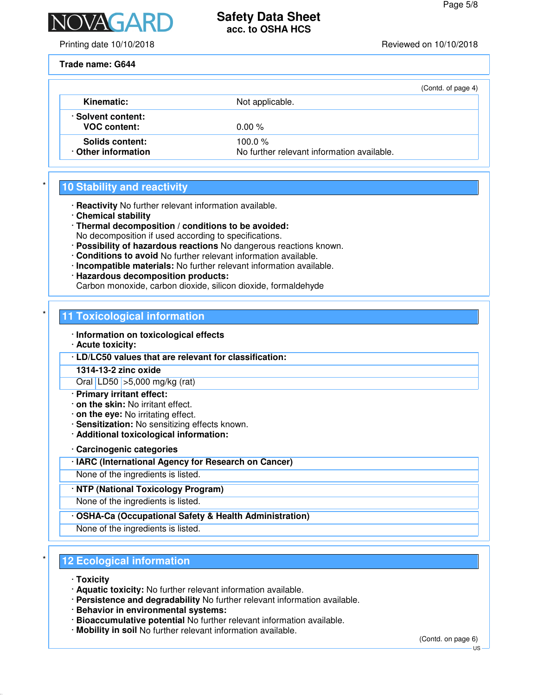

Printing date 10/10/2018 Reviewed on 10/10/2018

**Trade name: G644**

|                                           |                                                         | (Contd. of page 4) |
|-------------------------------------------|---------------------------------------------------------|--------------------|
| Kinematic:                                | Not applicable.                                         |                    |
| · Solvent content:<br><b>VOC content:</b> | $0.00 \%$                                               |                    |
| Solids content:<br>Other information      | 100.0 $%$<br>No further relevant information available. |                    |

## **10 Stability and reactivity**

- · **Reactivity** No further relevant information available.
- · **Chemical stability**
- · **Thermal decomposition / conditions to be avoided:**
- No decomposition if used according to specifications.
- · **Possibility of hazardous reactions** No dangerous reactions known.
- · **Conditions to avoid** No further relevant information available.
- · **Incompatible materials:** No further relevant information available. · **Hazardous decomposition products:**
- Carbon monoxide, carbon dioxide, silicon dioxide, formaldehyde

# **11 Toxicological information**

- · **Information on toxicological effects**
- · **Acute toxicity:**

· **LD/LC50 values that are relevant for classification:**

#### **1314-13-2 zinc oxide**

Oral LD50 >5,000 mg/kg (rat)

- · **Primary irritant effect:**
- · **on the skin:** No irritant effect.
- · **on the eye:** No irritating effect.
- · **Sensitization:** No sensitizing effects known.
- · **Additional toxicological information:**

· **Carcinogenic categories**

# · **IARC (International Agency for Research on Cancer)**

None of the ingredients is listed.

· **NTP (National Toxicology Program)**

None of the ingredients is listed.

· **OSHA-Ca (Occupational Safety & Health Administration)**

None of the ingredients is listed.

## **12 Ecological information**

- · **Toxicity**
- · **Aquatic toxicity:** No further relevant information available.
- · **Persistence and degradability** No further relevant information available.
- · **Behavior in environmental systems:**
- · **Bioaccumulative potential** No further relevant information available.
- · **Mobility in soil** No further relevant information available.

(Contd. on page 6)

US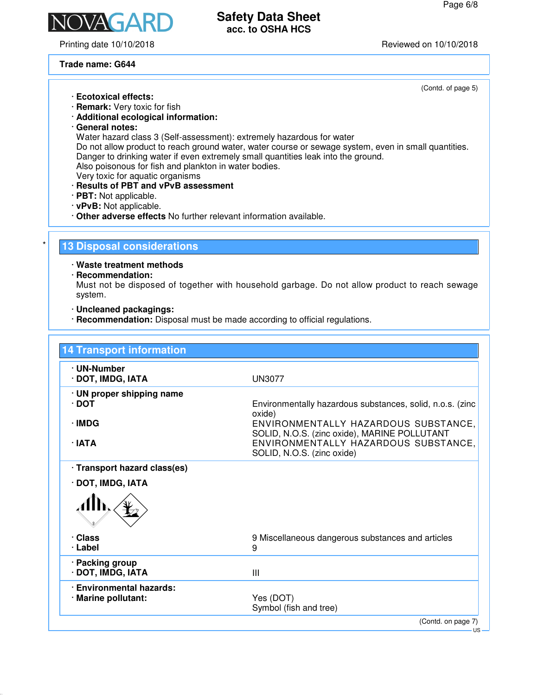

Printing date 10/10/2018 Reviewed on 10/10/2018

**Trade name: G644**

(Contd. of page 5)

- · **Ecotoxical effects:** · **Remark:** Very toxic for fish
- · **Additional ecological information:**
- · **General notes:**

Water hazard class 3 (Self-assessment): extremely hazardous for water Do not allow product to reach ground water, water course or sewage system, even in small quantities. Danger to drinking water if even extremely small quantities leak into the ground. Also poisonous for fish and plankton in water bodies.

- Very toxic for aquatic organisms
- · **Results of PBT and vPvB assessment**
- · **PBT:** Not applicable.
- · **vPvB:** Not applicable.
- · **Other adverse effects** No further relevant information available.

# **13 Disposal considerations**

· **Waste treatment methods**

· **Recommendation:**

Must not be disposed of together with household garbage. Do not allow product to reach sewage system.

- · **Uncleaned packagings:**
- · **Recommendation:** Disposal must be made according to official regulations.

| · UN-Number                              |                                                                                                                                                            |
|------------------------------------------|------------------------------------------------------------------------------------------------------------------------------------------------------------|
| · DOT, IMDG, IATA                        | <b>UN3077</b>                                                                                                                                              |
| · UN proper shipping name<br>$\cdot$ DOT | Environmentally hazardous substances, solid, n.o.s. (zinc<br>oxide)                                                                                        |
| · IMDG<br>∙ IATA                         | ENVIRONMENTALLY HAZARDOUS SUBSTANCE,<br>SOLID, N.O.S. (zinc oxide), MARINE POLLUTANT<br>ENVIRONMENTALLY HAZARDOUS SUBSTANCE,<br>SOLID, N.O.S. (zinc oxide) |
| · Transport hazard class(es)             |                                                                                                                                                            |
| · DOT, IMDG, IATA                        |                                                                                                                                                            |
| · Class<br>· Label                       | 9 Miscellaneous dangerous substances and articles<br>9                                                                                                     |
| · Packing group<br>· DOT, IMDG, IATA     | Ш                                                                                                                                                          |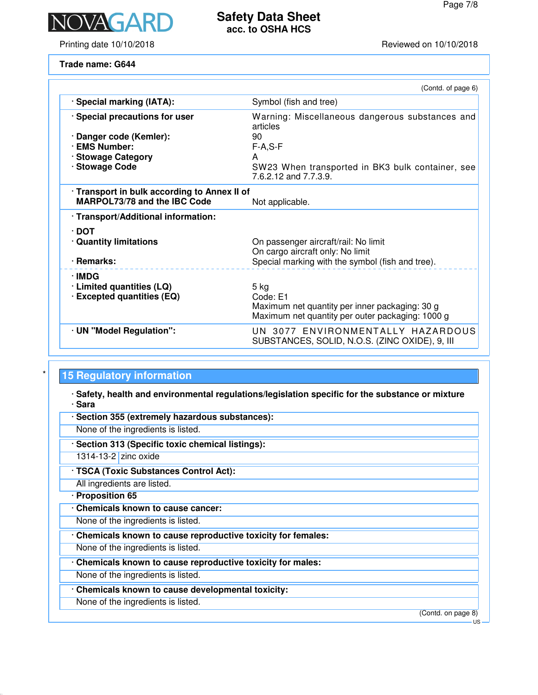

Printing date 10/10/2018 Reviewed on 10/10/2018

# **Safety Data Sheet acc. to OSHA HCS**

**Trade name: G644**

|                                                                                                 | (Contd. of page 6)                                                                                 |  |  |
|-------------------------------------------------------------------------------------------------|----------------------------------------------------------------------------------------------------|--|--|
| · Special marking (IATA):                                                                       | Symbol (fish and tree)                                                                             |  |  |
| · Special precautions for user                                                                  | Warning: Miscellaneous dangerous substances and<br>articles                                        |  |  |
| · Danger code (Kemler):                                                                         | 90                                                                                                 |  |  |
| <b>EMS Number:</b>                                                                              | $F-A, S-F$                                                                                         |  |  |
| · Stowage Category                                                                              | A                                                                                                  |  |  |
| · Stowage Code                                                                                  | SW23 When transported in BK3 bulk container, see<br>7.6.2.12 and 7.7.3.9.                          |  |  |
| · Transport in bulk according to Annex II of<br>MARPOL73/78 and the IBC Code<br>Not applicable. |                                                                                                    |  |  |
| · Transport/Additional information:                                                             |                                                                                                    |  |  |
| ∙ DOT                                                                                           |                                                                                                    |  |  |
| · Quantity limitations                                                                          | On passenger aircraft/rail: No limit                                                               |  |  |
|                                                                                                 | On cargo aircraft only: No limit                                                                   |  |  |
| · Remarks:                                                                                      | Special marking with the symbol (fish and tree).                                                   |  |  |
| ∙IMDG                                                                                           |                                                                                                    |  |  |
| $\cdot$ Limited quantities (LQ)                                                                 | $5$ kg                                                                                             |  |  |
| $\cdot$ Excepted quantities (EQ)                                                                | Code: E1                                                                                           |  |  |
|                                                                                                 | Maximum net quantity per inner packaging: 30 g<br>Maximum net quantity per outer packaging: 1000 g |  |  |
| · UN "Model Regulation":                                                                        | UN 3077 ENVIRONMENTALLY HAZARDOUS<br>SUBSTANCES, SOLID, N.O.S. (ZINC OXIDE), 9, III                |  |  |

# **15 Regulatory information**

· **Safety, health and environmental regulations/legislation specific for the substance or mixture** · **Sara**

- · **Section 355 (extremely hazardous substances):**
- None of the ingredients is listed.
- · **Section 313 (Specific toxic chemical listings):**
- 1314-13-2 zinc oxide
- · **TSCA (Toxic Substances Control Act):** All ingredients are listed.
- · **Proposition 65**
- · **Chemicals known to cause cancer:**
- None of the ingredients is listed.
- · **Chemicals known to cause reproductive toxicity for females:**
- None of the ingredients is listed.
- · **Chemicals known to cause reproductive toxicity for males:**
- None of the ingredients is listed.
- · **Chemicals known to cause developmental toxicity:**
- None of the ingredients is listed.

(Contd. on page 8)

US